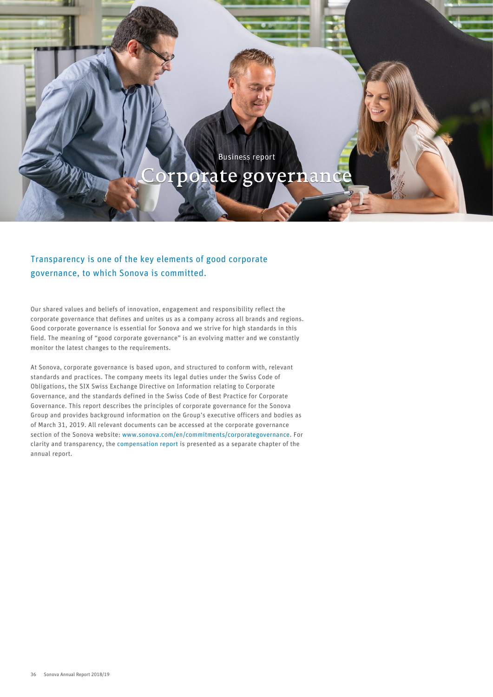## Business report

# Corporate governance

## Transparency is one of the key elements of good corporate governance, to which Sonova is committed.

Our shared values and beliefs of innovation, engagement and responsibility reflect the corporate governance that defines and unites us as a company across all brands and regions. Good corporate governance is essential for Sonova and we strive for high standards in this field. The meaning of "good corporate governance" is an evolving matter and we constantly monitor the latest changes to the requirements.

At Sonova, corporate governance is based upon, and structured to conform with, relevant standards and practices. The company meets its legal duties under the Swiss Code of Obligations, the SIX Swiss Exchange Directive on Information relating to Corporate Governance, and the standards defined in the Swiss Code of Best Practice for Corporate Governance. This report describes the principles of corporate governance for the Sonova Group and provides background information on the Group's executive officers and bodies as of March 31, 2019. All relevant documents can be accessed at the corporate governance section of the Sonova website: [www.sonova.com/en/commitments/corporategovernance.](http://www.sonova.com/en/commitments/corporategovernance) For clarity and transparency, the [compensation report](#page--1-0) is presented as a separate chapter of the annual report.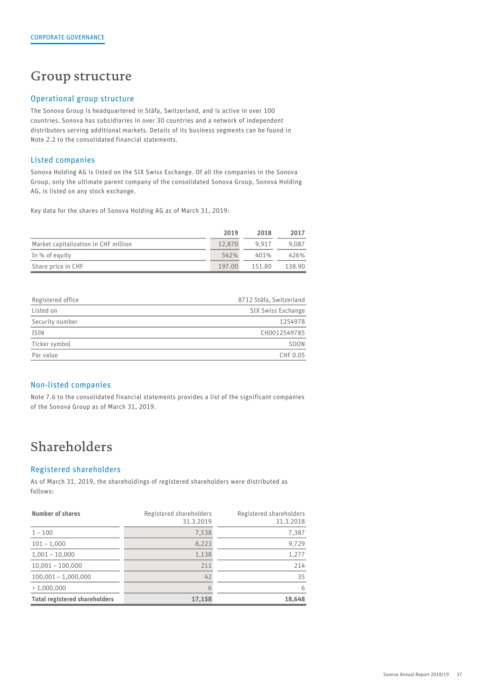## Group structure

### Operational group structure

The Sonova Group is headquartered in Stäfa, Switzerland, and is active in over 100 countries. Sonova has subsidiaries in over 30 countries and a network of independent distributors serving additional markets. Details of its business segments can be found in Note 2.2 to the consolidated financial statements.

### Listed companies

Sonova Holding AG is listed on the SIX Swiss Exchange. Of all the companies in the Sonova Group, only the ultimate parent company of the consolidated Sonova Group, Sonova Holding AG, is listed on any stock exchange.

Key data for the shares of Sonova Holding AG as of March 31, 2019:

|                                      | 2019   | 2018   | 2017   |
|--------------------------------------|--------|--------|--------|
| Market capitalization in CHF million | 12,870 | 9.917  | 9,087  |
| In % of equity                       | 542%   | 401%   | 426%   |
| Share price in CHF                   | 197.00 | 151.80 | 138.90 |

| Registered office | 8712 Stäfa, Switzerland |
|-------------------|-------------------------|
| Listed on         | SIX Swiss Exchange      |
| Security number   | 1254978                 |
| ISIN              | CH0012549785            |
| Ticker symbol     | <b>SOON</b>             |
| Par value         | CHF 0.05                |
|                   |                         |

## Non-listed companies

Note 7.6 to the consolidated financial statements provides a list of the significant companies of the Sonova Group as of March 31, 2019.

## Shareholders

## Registered shareholders

As of March 31, 2019, the shareholdings of registered shareholders were distributed as follows:

| Number of shares                     | Registered shareholders<br>31.3.2019 | Registered shareholders<br>31.3.2018 |
|--------------------------------------|--------------------------------------|--------------------------------------|
| $1 - 100$                            | 7,538                                | 7,387                                |
| $101 - 1,000$                        | 8,223                                | 9,729                                |
| $1,001 - 10,000$                     | 1,138                                | 1,277                                |
| $10,001 - 100,000$                   | 211                                  | 214                                  |
| $100,001 - 1,000,000$                | 42                                   | 35                                   |
| >1,000,000                           |                                      | h                                    |
| <b>Total registered shareholders</b> | 17,158                               | 18,648                               |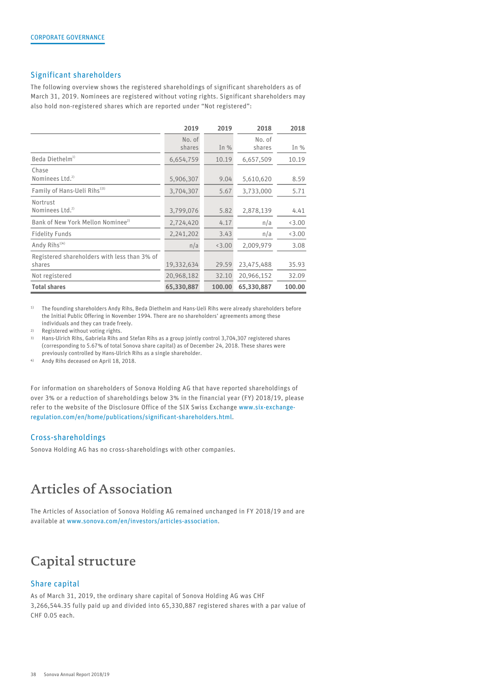### Significant shareholders

The following overview shows the registered shareholdings of significant shareholders as of March 31, 2019. Nominees are registered without voting rights. Significant shareholders may also hold non-registered shares which are reported under "Not registered":

|                                               | 2019       | 2019   | 2018       | 2018   |
|-----------------------------------------------|------------|--------|------------|--------|
|                                               | No. of     |        | No. of     |        |
|                                               | shares     | In $%$ | shares     | In $%$ |
| Beda Diethelm <sup>1)</sup>                   | 6,654,759  | 10.19  | 6,657,509  | 10.19  |
| Chase                                         |            |        |            |        |
| Nominees $Ltd.^2$                             | 5,906,307  | 9.04   | 5,610,620  | 8.59   |
| Family of Hans-Ueli Rihs <sup>133</sup>       | 3,704,307  | 5.67   | 3,733,000  | 5.71   |
| Nortrust                                      |            |        |            |        |
| Nominees Ltd. <sup>2)</sup>                   | 3,799,076  | 5.82   | 2,878,139  | 4.41   |
| Bank of New York Mellon Nominee <sup>2)</sup> | 2,724,420  | 4.17   | n/a        | 3.00   |
| <b>Fidelity Funds</b>                         | 2,241,202  | 3.43   | n/a        | 3.00   |
| Andy $Rihs^{1/4}$                             | n/a        | 3.00   | 2,009,979  | 3.08   |
| Registered shareholders with less than 3% of  |            |        |            |        |
| shares                                        | 19,332,634 | 29.59  | 23,475,488 | 35.93  |
| Not registered                                | 20,968,182 | 32.10  | 20,966,152 | 32.09  |
| <b>Total shares</b>                           | 65,330,887 | 100.00 | 65,330,887 | 100.00 |

<sup>1)</sup> The founding shareholders Andy Rihs, Beda Diethelm and Hans-Ueli Rihs were already shareholders before the Initial Public Offering in November 1994. There are no shareholders' agreements among these individuals and they can trade freely.

2) Registered without voting rights.

3) Hans-Ulrich Rihs, Gabriela Rihs and Stefan Rihs as a group jointly control 3,704,307 registered shares (corresponding to 5.67% of total Sonova share capital) as of December 24, 2018. These shares were previously controlled by Hans-Ulrich Rihs as a single shareholder.

4) Andy Rihs deceased on April 18, 2018.

For information on shareholders of Sonova Holding AG that have reported shareholdings of over 3% or a reduction of shareholdings below 3% in the financial year (FY) 2018/19, please refer to the website of the Disclosure Office of the SIX Swiss Exchange [www.six-exchange](http://www.six-exchange-regulation.com/en/home/publications/significant-shareholders.html)[regulation.com/en/home/publications/significant-shareholders.html](http://www.six-exchange-regulation.com/en/home/publications/significant-shareholders.html).

## Cross-shareholdings

Sonova Holding AG has no cross-shareholdings with other companies.

## Articles of Association

The Articles of Association of Sonova Holding AG remained unchanged in FY 2018/19 and are available at [www.sonova.com/en/investors/articles-association](http://www.sonova.com/en/investors/articles-association).

## Capital structure

## Share capital

As of March 31, 2019, the ordinary share capital of Sonova Holding AG was CHF 3,266,544.35 fully paid up and divided into 65,330,887 registered shares with a par value of CHF 0.05 each.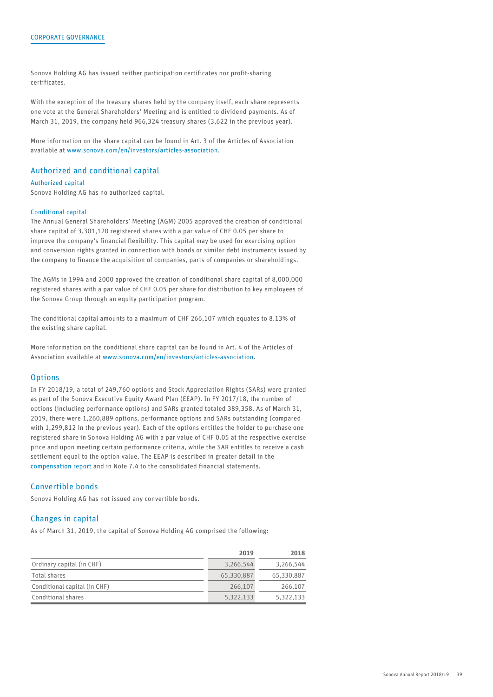Sonova Holding AG has issued neither participation certificates nor profit-sharing certificates.

With the exception of the treasury shares held by the company itself, each share represents one vote at the General Shareholders' Meeting and is entitled to dividend payments. As of March 31, 2019, the company held 966,324 treasury shares (3,622 in the previous year).

More information on the share capital can be found in Art. 3 of the Articles of Association available at [www.sonova.com/en/investors/articles-association](http://www.sonova.com/en/investors/articles-association).

## Authorized and conditional capital

#### Authorized capital

Sonova Holding AG has no authorized capital.

#### Conditional capital

The Annual General Shareholders' Meeting (AGM) 2005 approved the creation of conditional share capital of 3,301,120 registered shares with a par value of CHF 0.05 per share to improve the company's financial flexibility. This capital may be used for exercising option and conversion rights granted in connection with bonds or similar debt instruments issued by the company to finance the acquisition of companies, parts of companies or shareholdings.

The AGMs in 1994 and 2000 approved the creation of conditional share capital of 8,000,000 registered shares with a par value of CHF 0.05 per share for distribution to key employees of the Sonova Group through an equity participation program.

The conditional capital amounts to a maximum of CHF 266,107 which equates to 8.13% of the existing share capital.

More information on the conditional share capital can be found in Art. 4 of the Articles of Association available at [www.sonova.com/en/investors/articles-association](http://www.sonova.com/en/investors/articles-association).

#### **Options**

In FY 2018/19, a total of 249,760 options and Stock Appreciation Rights (SARs) were granted as part of the Sonova Executive Equity Award Plan (EEAP). In FY 2017/18, the number of options (including performance options) and SARs granted totaled 389,358. As of March 31, 2019, there were 1,260,889 options, performance options and SARs outstanding (compared with 1,299,812 in the previous year). Each of the options entitles the holder to purchase one registered share in Sonova Holding AG with a par value of CHF 0.05 at the respective exercise price and upon meeting certain performance criteria, while the SAR entitles to receive a cash settlement equal to the option value. The EEAP is described in greater detail in the [compensation report a](#page--1-0)nd in Note 7.4 to the consolidated financial statements.

### Convertible bonds

Sonova Holding AG has not issued any convertible bonds.

#### Changes in capital

As of March 31, 2019, the capital of Sonova Holding AG comprised the following:

|                              | 2019       | 2018       |
|------------------------------|------------|------------|
| Ordinary capital (in CHF)    | 3,266,544  | 3,266,544  |
| Total shares                 | 65,330,887 | 65,330,887 |
| Conditional capital (in CHF) | 266,107    | 266,107    |
| Conditional shares           | 5,322,133  | 5,322,133  |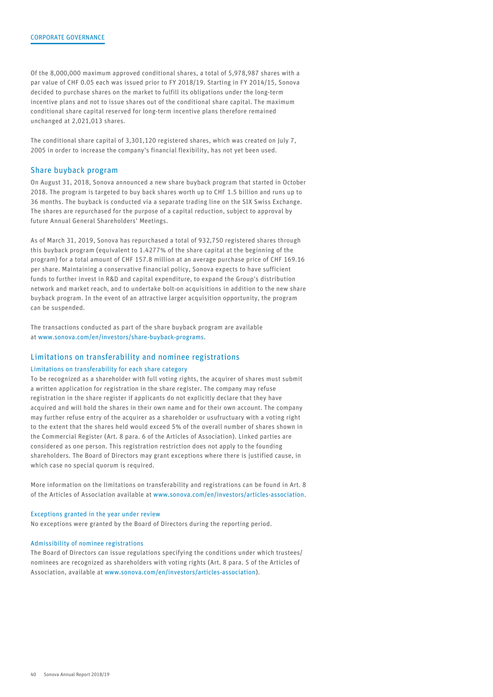Of the 8,000,000 maximum approved conditional shares, a total of 5,978,987 shares with a par value of CHF 0.05 each was issued prior to FY 2018/19. Starting in FY 2014/15, Sonova decided to purchase shares on the market to fulfill its obligations under the long-term incentive plans and not to issue shares out of the conditional share capital. The maximum conditional share capital reserved for long-term incentive plans therefore remained unchanged at 2,021,013 shares.

The conditional share capital of 3,301,120 registered shares, which was created on July 7, 2005 in order to increase the company's financial flexibility, has not yet been used.

#### Share buyback program

On August 31, 2018, Sonova announced a new share buyback program that started in October 2018. The program is targeted to buy back shares worth up to CHF 1.5 billion and runs up to 36 months. The buyback is conducted via a separate trading line on the SIX Swiss Exchange. The shares are repurchased for the purpose of a capital reduction, subject to approval by future Annual General Shareholders' Meetings.

As of March 31, 2019, Sonova has repurchased a total of 932,750 registered shares through this buyback program (equivalent to 1.4277% of the share capital at the beginning of the program) for a total amount of CHF 157.8 million at an average purchase price of CHF 169.16 per share. Maintaining a conservative financial policy, Sonova expects to have sufficient funds to further invest in R&D and capital expenditure, to expand the Group's distribution network and market reach, and to undertake bolt-on acquisitions in addition to the new share buyback program. In the event of an attractive larger acquisition opportunity, the program can be suspended.

The transactions conducted as part of the share buyback program are available at [www.sonova.com/en/investors/share-buyback-programs](http://www.sonova.com/en/investors/share-buyback-programs).

#### Limitations on transferability and nominee registrations

#### Limitations on transferability for each share category

To be recognized as a shareholder with full voting rights, the acquirer of shares must submit a written application for registration in the share register. The company may refuse registration in the share register if applicants do not explicitly declare that they have acquired and will hold the shares in their own name and for their own account. The company may further refuse entry of the acquirer as a shareholder or usufructuary with a voting right to the extent that the shares held would exceed 5% of the overall number of shares shown in the Commercial Register (Art. 8 para. 6 of the Articles of Association). Linked parties are considered as one person. This registration restriction does not apply to the founding shareholders. The Board of Directors may grant exceptions where there is justified cause, in which case no special quorum is required.

More information on the limitations on transferability and registrations can be found in Art. 8 of the Articles of Association available at [www.sonova.com/en/investors/articles-association.](http://www.sonova.com/en/investors/articles-association)

#### Exceptions granted in the year under review

No exceptions were granted by the Board of Directors during the reporting period.

#### Admissibility of nominee registrations

The Board of Directors can issue regulations specifying the conditions under which trustees/ nominees are recognized as shareholders with voting rights (Art. 8 para. 5 of the Articles of Association, available at [www.sonova.com/en/investors/articles-association\)](http://www.sonova.com/en/investors/articles-association).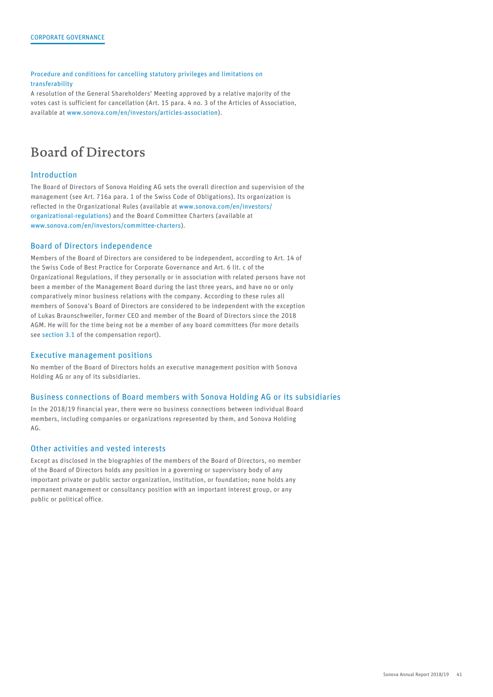Procedure and conditions for cancelling statutory privileges and limitations on transferability

A resolution of the General Shareholders' Meeting approved by a relative majority of the votes cast is sufficient for cancellation (Art. 15 para. 4 no. 3 of the Articles of Association, available at [www.sonova.com/en/investors/articles-association](http://www.sonova.com/en/investors/articles-association)).

## <span id="page-5-0"></span>Board of Directors

## Introduction

The Board of Directors of Sonova Holding AG sets the overall direction and supervision of the management (see Art. 716a para. 1 of the Swiss Code of Obligations). Its organization is reflected in the Organizational Rules (available at [www.sonova.com/en/investors/](http://www.sonova.com/en/investors/organizational-regulations) [organizational-regulations](http://www.sonova.com/en/investors/organizational-regulations)) and the Board Committee Charters (available at [www.sonova.com/en/investors/committee-charters](http://www.sonova.com/en/investors/committee-charters)).

### Board of Directors independence

Members of the Board of Directors are considered to be independent, according to Art. 14 of the Swiss Code of Best Practice for Corporate Governance and Art. 6 lit. c of the Organizational Regulations, if they personally or in association with related persons have not been a member of the Management Board during the last three years, and have no or only comparatively minor business relations with the company. According to these rules all members of Sonova's Board of Directors are considered to be independent with the exception of Lukas Braunschweiler, former CEO and member of the Board of Directors since the 2018 AGM. He will for the time being not be a member of any board committees (for more details see [section 3.1](#page--1-1) of the compensation report).

## Executive management positions

No member of the Board of Directors holds an executive management position with Sonova Holding AG or any of its subsidiaries.

## Business connections of Board members with Sonova Holding AG or its subsidiaries

In the 2018/19 financial year, there were no business connections between individual Board members, including companies or organizations represented by them, and Sonova Holding AG.

## Other activities and vested interests

Except as disclosed in the biographies of the members of the Board of Directors, no member of the Board of Directors holds any position in a governing or supervisory body of any important private or public sector organization, institution, or foundation; none holds any permanent management or consultancy position with an important interest group, or any public or political office.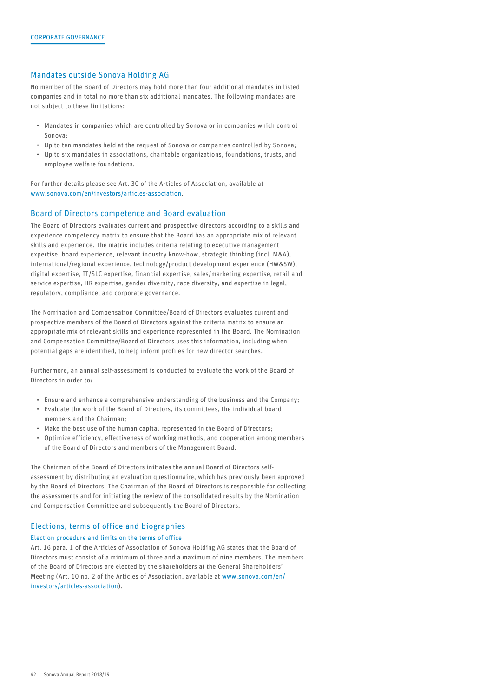## Mandates outside Sonova Holding AG

No member of the Board of Directors may hold more than four additional mandates in listed companies and in total no more than six additional mandates. The following mandates are not subject to these limitations:

- Mandates in companies which are controlled by Sonova or in companies which control Sonova;
- Up to ten mandates held at the request of Sonova or companies controlled by Sonova;
- Up to six mandates in associations, charitable organizations, foundations, trusts, and employee welfare foundations.

For further details please see Art. 30 of the Articles of Association, available at [www.sonova.com/en/investors/articles-association](http://www.sonova.com/en/investors/articles-association).

### Board of Directors competence and Board evaluation

The Board of Directors evaluates current and prospective directors according to a skills and experience competency matrix to ensure that the Board has an appropriate mix of relevant skills and experience. The matrix includes criteria relating to executive management expertise, board experience, relevant industry know-how, strategic thinking (incl. M&A), international/regional experience, technology/product development experience (HW&SW), digital expertise, IT/SLC expertise, financial expertise, sales/marketing expertise, retail and service expertise, HR expertise, gender diversity, race diversity, and expertise in legal, regulatory, compliance, and corporate governance.

The Nomination and Compensation Committee/Board of Directors evaluates current and prospective members of the Board of Directors against the criteria matrix to ensure an appropriate mix of relevant skills and experience represented in the Board. The Nomination and Compensation Committee/Board of Directors uses this information, including when potential gaps are identified, to help inform profiles for new director searches.

Furthermore, an annual self-assessment is conducted to evaluate the work of the Board of Directors in order to:

- Ensure and enhance a comprehensive understanding of the business and the Company;
- Evaluate the work of the Board of Directors, its committees, the individual board members and the Chairman;
- Make the best use of the human capital represented in the Board of Directors;
- Optimize efficiency, effectiveness of working methods, and cooperation among members of the Board of Directors and members of the Management Board.

The Chairman of the Board of Directors initiates the annual Board of Directors selfassessment by distributing an evaluation questionnaire, which has previously been approved by the Board of Directors. The Chairman of the Board of Directors is responsible for collecting the assessments and for initiating the review of the consolidated results by the Nomination and Compensation Committee and subsequently the Board of Directors.

## Elections, terms of office and biographies

#### Election procedure and limits on the terms of office

Art. 16 para. 1 of the Articles of Association of Sonova Holding AG states that the Board of Directors must consist of a minimum of three and a maximum of nine members. The members of the Board of Directors are elected by the shareholders at the General Shareholders' Meeting (Art. 10 no. 2 of the Articles of Association, available at [www.sonova.com/en/](http://www.sonova.com/en/investors/articles-association) [investors/articles-association\)](http://www.sonova.com/en/investors/articles-association).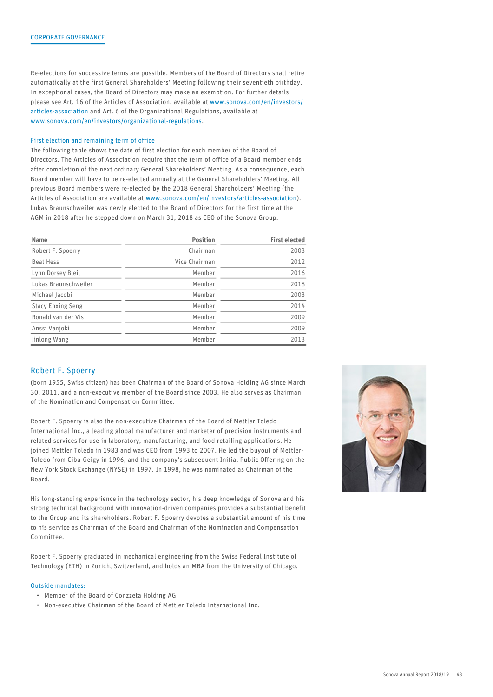Re-elections for successive terms are possible. Members of the Board of Directors shall retire automatically at the first General Shareholders' Meeting following their seventieth birthday. In exceptional cases, the Board of Directors may make an exemption. For further details please see Art. 16 of the Articles of Association, available at [www.sonova.com/en/investors/](http://www.sonova.com/en/investors/articles-association) [articles-association](http://www.sonova.com/en/investors/articles-association) and Art. 6 of the Organizational Regulations, available at [www.sonova.com/en/investors/organizational-regulations.](http://www.sonova.com/en/investors/organizational-regulations)

#### First election and remaining term of office

The following table shows the date of first election for each member of the Board of Directors. The Articles of Association require that the term of office of a Board member ends after completion of the next ordinary General Shareholders' Meeting. As a consequence, each Board member will have to be re-elected annually at the General Shareholders' Meeting. All previous Board members were re-elected by the 2018 General Shareholders' Meeting (the Articles of Association are available at [www.sonova.com/en/investors/articles-association](http://www.sonova.com/en/investors/articles-association)). Lukas Braunschweiler was newly elected to the Board of Directors for the first time at the AGM in 2018 after he stepped down on March 31, 2018 as CEO of the Sonova Group.

| <b>Name</b>              | <b>Position</b> | <b>First elected</b> |
|--------------------------|-----------------|----------------------|
| Robert F. Spoerry        | Chairman        | 2003                 |
| Beat Hess                | Vice Chairman   | 2012                 |
| Lynn Dorsey Bleil        | Member          | 2016                 |
| Lukas Braunschweiler     | Member          | 2018                 |
| Michael Jacobi           | Member          | 2003                 |
| <b>Stacy Enxing Seng</b> | Member          | 2014                 |
| Ronald van der Vis       | Member          | 2009                 |
| Anssi Vanjoki            | Member          | 2009                 |
| Jinlong Wang             | Member          | 2013                 |

## Robert F. Spoerry

(born 1955, Swiss citizen) has been Chairman of the Board of Sonova Holding AG since March 30, 2011, and a non-executive member of the Board since 2003. He also serves as Chairman of the Nomination and Compensation Committee.

Robert F. Spoerry is also the non-executive Chairman of the Board of Mettler Toledo International Inc., a leading global manufacturer and marketer of precision instruments and related services for use in laboratory, manufacturing, and food retailing applications. He joined Mettler Toledo in 1983 and was CEO from 1993 to 2007. He led the buyout of Mettler-Toledo from Ciba-Geigy in 1996, and the company's subsequent Initial Public Offering on the New York Stock Exchange (NYSE) in 1997. In 1998, he was nominated as Chairman of the Board.

His long-standing experience in the technology sector, his deep knowledge of Sonova and his strong technical background with innovation-driven companies provides a substantial benefit to the Group and its shareholders. Robert F. Spoerry devotes a substantial amount of his time to his service as Chairman of the Board and Chairman of the Nomination and Compensation Committee.

Robert F. Spoerry graduated in mechanical engineering from the Swiss Federal Institute of Technology (ETH) in Zurich, Switzerland, and holds an MBA from the University of Chicago.

#### Outside mandates:

- Member of the Board of Conzzeta Holding AG
- Non-executive Chairman of the Board of Mettler Toledo International Inc.

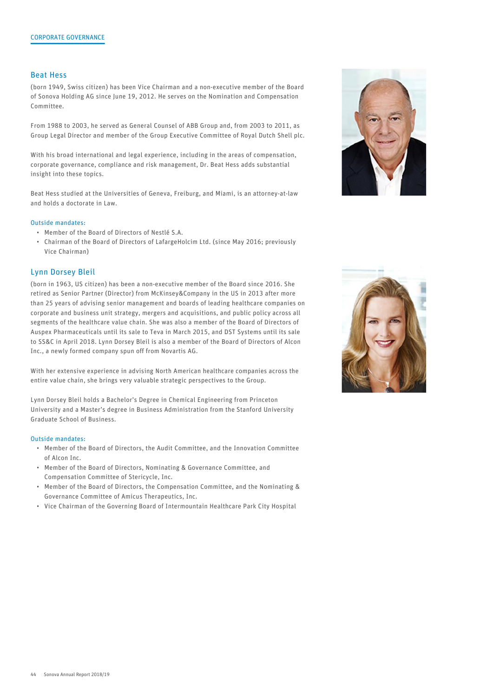#### Beat Hess

(born 1949, Swiss citizen) has been Vice Chairman and a non-executive member of the Board of Sonova Holding AG since June 19, 2012. He serves on the Nomination and Compensation Committee.

From 1988 to 2003, he served as General Counsel of ABB Group and, from 2003 to 2011, as Group Legal Director and member of the Group Executive Committee of Royal Dutch Shell plc.

With his broad international and legal experience, including in the areas of compensation, corporate governance, compliance and risk management, Dr. Beat Hess adds substantial insight into these topics.

Beat Hess studied at the Universities of Geneva, Freiburg, and Miami, is an attorney-at-law and holds a doctorate in Law.

#### Outside mandates:

- Member of the Board of Directors of Nestlé S.A.
- Chairman of the Board of Directors of LafargeHolcim Ltd. (since May 2016; previously Vice Chairman)

#### Lynn Dorsey Bleil

(born in 1963, US citizen) has been a non-executive member of the Board since 2016. She retired as Senior Partner (Director) from McKinsey&Company in the US in 2013 after more than 25 years of advising senior management and boards of leading healthcare companies on corporate and business unit strategy, mergers and acquisitions, and public policy across all segments of the healthcare value chain. She was also a member of the Board of Directors of Auspex Pharmaceuticals until its sale to Teva in March 2015, and DST Systems until its sale to SS&C in April 2018. Lynn Dorsey Bleil is also a member of the Board of Directors of Alcon Inc., a newly formed company spun off from Novartis AG.

With her extensive experience in advising North American healthcare companies across the entire value chain, she brings very valuable strategic perspectives to the Group.

Lynn Dorsey Bleil holds a Bachelor's Degree in Chemical Engineering from Princeton University and a Master's degree in Business Administration from the Stanford University Graduate School of Business.

#### Outside mandates:

- Member of the Board of Directors, the Audit Committee, and the Innovation Committee of Alcon Inc.
- Member of the Board of Directors, Nominating & Governance Committee, and Compensation Committee of Stericycle, Inc.
- Member of the Board of Directors, the Compensation Committee, and the Nominating & Governance Committee of Amicus Therapeutics, Inc.
- Vice Chairman of the Governing Board of Intermountain Healthcare Park City Hospital



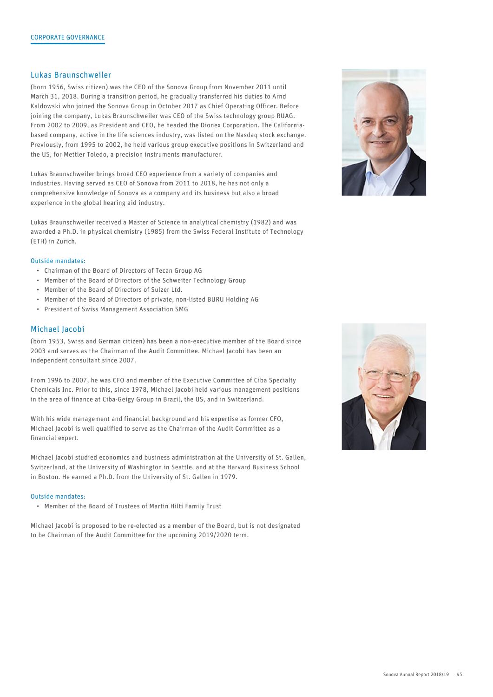## Lukas Braunschweiler

(born 1956, Swiss citizen) was the CEO of the Sonova Group from November 2011 until March 31, 2018. During a transition period, he gradually transferred his duties to Arnd Kaldowski who joined the Sonova Group in October 2017 as Chief Operating Officer. Before joining the company, Lukas Braunschweiler was CEO of the Swiss technology group RUAG. From 2002 to 2009, as President and CEO, he headed the Dionex Corporation. The Californiabased company, active in the life sciences industry, was listed on the Nasdaq stock exchange. Previously, from 1995 to 2002, he held various group executive positions in Switzerland and the US, for Mettler Toledo, a precision instruments manufacturer.

Lukas Braunschweiler brings broad CEO experience from a variety of companies and industries. Having served as CEO of Sonova from 2011 to 2018, he has not only a comprehensive knowledge of Sonova as a company and its business but also a broad experience in the global hearing aid industry.

Lukas Braunschweiler received a Master of Science in analytical chemistry (1982) and was awarded a Ph.D. in physical chemistry (1985) from the Swiss Federal Institute of Technology (ETH) in Zurich.

#### Outside mandates:

- Chairman of the Board of Directors of Tecan Group AG
- Member of the Board of Directors of the Schweiter Technology Group
- Member of the Board of Directors of Sulzer Ltd.
- Member of the Board of Directors of private, non-listed BURU Holding AG
- President of Swiss Management Association SMG

## Michael Jacobi

(born 1953, Swiss and German citizen) has been a non-executive member of the Board since 2003 and serves as the Chairman of the Audit Committee. Michael Jacobi has been an independent consultant since 2007.

From 1996 to 2007, he was CFO and member of the Executive Committee of Ciba Specialty Chemicals Inc. Prior to this, since 1978, Michael Jacobi held various management positions in the area of finance at Ciba-Geigy Group in Brazil, the US, and in Switzerland.

With his wide management and financial background and his expertise as former CFO, Michael Jacobi is well qualified to serve as the Chairman of the Audit Committee as a financial expert.

Michael Jacobi studied economics and business administration at the University of St. Gallen, Switzerland, at the University of Washington in Seattle, and at the Harvard Business School in Boston. He earned a Ph.D. from the University of St. Gallen in 1979.

#### Outside mandates:

• Member of the Board of Trustees of Martin Hilti Family Trust

Michael Jacobi is proposed to be re-elected as a member of the Board, but is not designated to be Chairman of the Audit Committee for the upcoming 2019/2020 term.



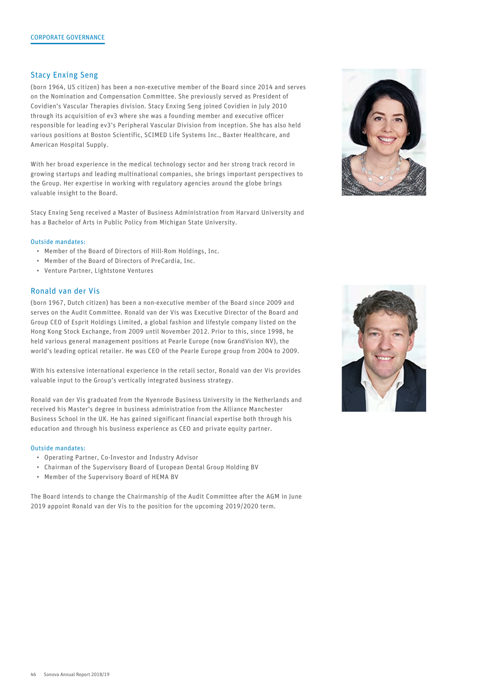## Stacy Enxing Seng

(born 1964, US citizen) has been a non-executive member of the Board since 2014 and serves on the Nomination and Compensation Committee. She previously served as President of Covidien's Vascular Therapies division. Stacy Enxing Seng joined Covidien in July 2010 through its acquisition of ev3 where she was a founding member and executive officer responsible for leading ev3's Peripheral Vascular Division from inception. She has also held various positions at Boston Scientific, SCIMED Life Systems Inc., Baxter Healthcare, and American Hospital Supply.

With her broad experience in the medical technology sector and her strong track record in growing startups and leading multinational companies, she brings important perspectives to the Group. Her expertise in working with regulatory agencies around the globe brings valuable insight to the Board.

Stacy Enxing Seng received a Master of Business Administration from Harvard University and has a Bachelor of Arts in Public Policy from Michigan State University.

#### Outside mandates:

- Member of the Board of Directors of Hill-Rom Holdings, Inc.
- Member of the Board of Directors of PreCardia, Inc.
- Venture Partner, Lightstone Ventures

## Ronald van der Vis

(born 1967, Dutch citizen) has been a non-executive member of the Board since 2009 and serves on the Audit Committee. Ronald van der Vis was Executive Director of the Board and Group CEO of Esprit Holdings Limited, a global fashion and lifestyle company listed on the Hong Kong Stock Exchange, from 2009 until November 2012. Prior to this, since 1998, he held various general management positions at Pearle Europe (now GrandVision NV), the world's leading optical retailer. He was CEO of the Pearle Europe group from 2004 to 2009.

With his extensive international experience in the retail sector, Ronald van der Vis provides valuable input to the Group's vertically integrated business strategy.

Ronald van der Vis graduated from the Nyenrode Business University in the Netherlands and received his Master's degree in business administration from the Alliance Manchester Business School in the UK. He has gained significant financial expertise both through his education and through his business experience as CEO and private equity partner.

#### Outside mandates:

- Operating Partner, Co-Investor and Industry Advisor
- Chairman of the Supervisory Board of European Dental Group Holding BV
- Member of the Supervisory Board of HEMA BV

The Board intends to change the Chairmanship of the Audit Committee after the AGM in June 2019 appoint Ronald van der Vis to the position for the upcoming 2019/2020 term.



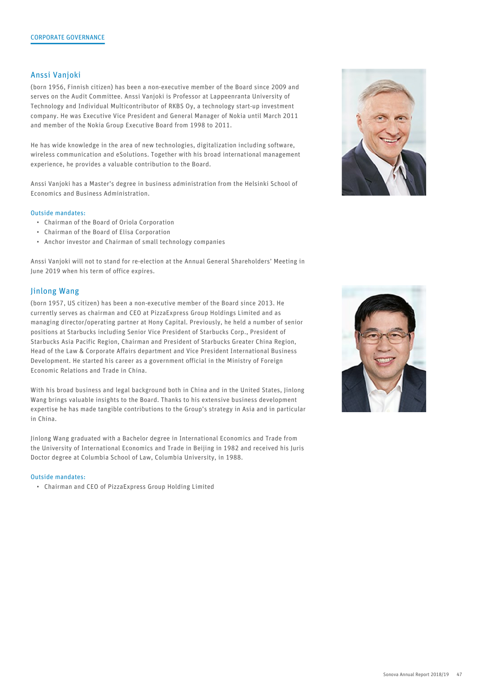## Anssi Vanjoki

(born 1956, Finnish citizen) has been a non-executive member of the Board since 2009 and serves on the Audit Committee. Anssi Vanjoki is Professor at Lappeenranta University of Technology and Individual Multicontributor of RKBS Oy, a technology start-up investment company. He was Executive Vice President and General Manager of Nokia until March 2011 and member of the Nokia Group Executive Board from 1998 to 2011.

He has wide knowledge in the area of new technologies, digitalization including software, wireless communication and eSolutions. Together with his broad international management experience, he provides a valuable contribution to the Board.

Anssi Vanjoki has a Master's degree in business administration from the Helsinki School of Economics and Business Administration.

## Outside mandates:

- Chairman of the Board of Oriola Corporation
- Chairman of the Board of Elisa Corporation
- Anchor investor and Chairman of small technology companies

Anssi Vanjoki will not to stand for re-election at the Annual General Shareholders' Meeting in June 2019 when his term of office expires.

#### Jinlong Wang

(born 1957, US citizen) has been a non-executive member of the Board since 2013. He currently serves as chairman and CEO at PizzaExpress Group Holdings Limited and as managing director/operating partner at Hony Capital. Previously, he held a number of senior positions at Starbucks including Senior Vice President of Starbucks Corp., President of Starbucks Asia Pacific Region, Chairman and President of Starbucks Greater China Region, Head of the Law & Corporate Affairs department and Vice President International Business Development. He started his career as a government official in the Ministry of Foreign Economic Relations and Trade in China.

With his broad business and legal background both in China and in the United States, Jinlong Wang brings valuable insights to the Board. Thanks to his extensive business development expertise he has made tangible contributions to the Group's strategy in Asia and in particular in China.

Jinlong Wang graduated with a Bachelor degree in International Economics and Trade from the University of International Economics and Trade in Beijing in 1982 and received his Juris Doctor degree at Columbia School of Law, Columbia University, in 1988.

#### Outside mandates:

• Chairman and CEO of PizzaExpress Group Holding Limited



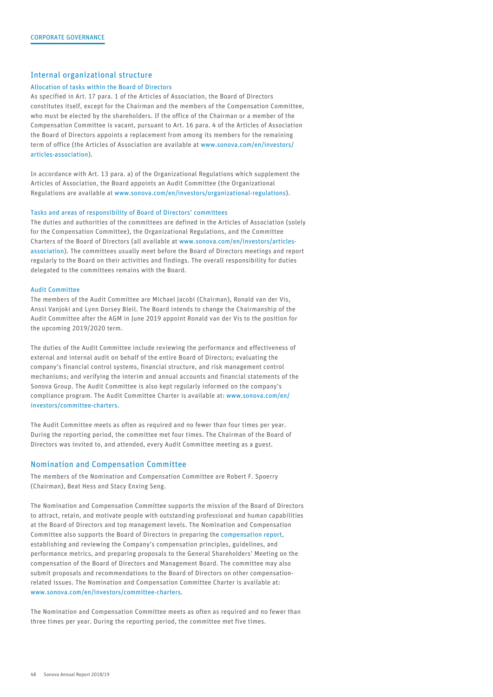## Internal organizational structure

#### Allocation of tasks within the Board of Directors

As specified in Art. 17 para. 1 of the Articles of Association, the Board of Directors constitutes itself, except for the Chairman and the members of the Compensation Committee, who must be elected by the shareholders. If the office of the Chairman or a member of the Compensation Committee is vacant, pursuant to Art. 16 para. 4 of the Articles of Association the Board of Directors appoints a replacement from among its members for the remaining term of office (the Articles of Association are available at [www.sonova.com/en/investors/](http://www.sonova.com/en/investors/articles-association) [articles-association\)](http://www.sonova.com/en/investors/articles-association).

In accordance with Art. 13 para. a) of the Organizational Regulations which supplement the Articles of Association, the Board appoints an Audit Committee (the Organizational Regulations are available at [www.sonova.com/en/investors/organizational-regulations](http://www.sonova.com/en/investors/organizational-regulations)).

#### Tasks and areas of responsibility of Board of Directors' committees

The duties and authorities of the committees are defined in the Articles of Association (solely for the Compensation Committee), the Organizational Regulations, and the Committee Charters of the Board of Directors (all available at [www.sonova.com/en/investors/articles](http://www.sonova.com/en/investors/articles-association)[association](http://www.sonova.com/en/investors/articles-association)). The committees usually meet before the Board of Directors meetings and report regularly to the Board on their activities and findings. The overall responsibility for duties delegated to the committees remains with the Board.

#### Audit Committee

The members of the Audit Committee are Michael Jacobi (Chairman), Ronald van der Vis, Anssi Vanjoki and Lynn Dorsey Bleil. The Board intends to change the Chairmanship of the Audit Committee after the AGM in June 2019 appoint Ronald van der Vis to the position for the upcoming 2019/2020 term.

The duties of the Audit Committee include reviewing the performance and effectiveness of external and internal audit on behalf of the entire Board of Directors; evaluating the company's financial control systems, financial structure, and risk management control mechanisms; and verifying the interim and annual accounts and financial statements of the Sonova Group. The Audit Committee is also kept regularly informed on the company's compliance program. The Audit Committee Charter is available at: [www.sonova.com/en/](http://www.sonova.com/en/investors/committee-charters) [investors/committee-charters.](http://www.sonova.com/en/investors/committee-charters)

The Audit Committee meets as often as required and no fewer than four times per year. During the reporting period, the committee met four times. The Chairman of the Board of Directors was invited to, and attended, every Audit Committee meeting as a guest.

#### Nomination and Compensation Committee

The members of the Nomination and Compensation Committee are Robert F. Spoerry (Chairman), Beat Hess and Stacy Enxing Seng.

The Nomination and Compensation Committee supports the mission of the Board of Directors to attract, retain, and motivate people with outstanding professional and human capabilities at the Board of Directors and top management levels. The Nomination and Compensation Committee also supports the Board of Directors in preparing the [compensation report,](#page--1-0) establishing and reviewing the Company's compensation principles, guidelines, and performance metrics, and preparing proposals to the General Shareholders' Meeting on the compensation of the Board of Directors and Management Board. The committee may also submit proposals and recommendations to the Board of Directors on other compensationrelated issues. The Nomination and Compensation Committee Charter is available at: [www.sonova.com/en/investors/committee-charters](http://www.sonova.com/en/investors/committee-charters).

The Nomination and Compensation Committee meets as often as required and no fewer than three times per year. During the reporting period, the committee met five times.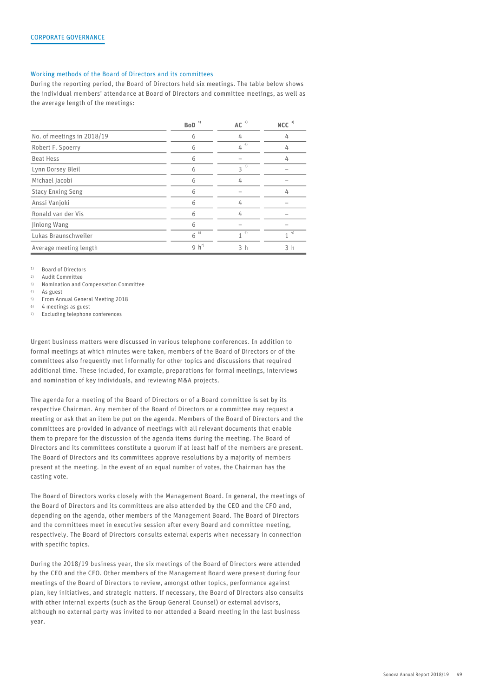#### Working methods of the Board of Directors and its committees

During the reporting period, the Board of Directors held six meetings. The table below shows the individual members' attendance at Board of Directors and committee meetings, as well as the average length of the meetings:

|                            | $\mathbf{BoD}^{-1)}$ | AC <sup>2</sup> | $NCC$ <sup>3)</sup> |
|----------------------------|----------------------|-----------------|---------------------|
| No. of meetings in 2018/19 | 6                    | 4               | 4                   |
| Robert F. Spoerry          | 6                    | $4^{4}$         | 4                   |
| Beat Hess                  | 6                    |                 | 4                   |
| Lynn Dorsey Bleil          | 6                    | $3^{5}$         |                     |
| Michael Jacobi             | 6                    | 4               |                     |
| <b>Stacy Enxing Seng</b>   | 6                    | -               | 4                   |
| Anssi Vanjoki              | 6                    | 4               |                     |
| Ronald van der Vis         | 6                    | 4               |                     |
| Jinlong Wang               | 6                    |                 |                     |
| Lukas Braunschweiler       | $6^{6}$              | $4^{4}$         | 4)                  |
| Average meeting length     | 9 $h^{7}$            | 3h              | 3 h                 |

<sup>1)</sup> Board of Directors<br><sup>2)</sup> Audit Committee

2) Audit Committee

3) Nomination and Compensation Committee

4) As guest

5) From Annual General Meeting 2018

6) 4 meetings as guest

7) Excluding telephone conferences

Urgent business matters were discussed in various telephone conferences. In addition to formal meetings at which minutes were taken, members of the Board of Directors or of the committees also frequently met informally for other topics and discussions that required additional time. These included, for example, preparations for formal meetings, interviews and nomination of key individuals, and reviewing M&A projects.

The agenda for a meeting of the Board of Directors or of a Board committee is set by its respective Chairman. Any member of the Board of Directors or a committee may request a meeting or ask that an item be put on the agenda. Members of the Board of Directors and the committees are provided in advance of meetings with all relevant documents that enable them to prepare for the discussion of the agenda items during the meeting. The Board of Directors and its committees constitute a quorum if at least half of the members are present. The Board of Directors and its committees approve resolutions by a majority of members present at the meeting. In the event of an equal number of votes, the Chairman has the casting vote.

The Board of Directors works closely with the Management Board. In general, the meetings of the Board of Directors and its committees are also attended by the CEO and the CFO and, depending on the agenda, other members of the Management Board. The Board of Directors and the committees meet in executive session after every Board and committee meeting, respectively. The Board of Directors consults external experts when necessary in connection with specific topics.

During the 2018/19 business year, the six meetings of the Board of Directors were attended by the CEO and the CFO. Other members of the Management Board were present during four meetings of the Board of Directors to review, amongst other topics, performance against plan, key initiatives, and strategic matters. If necessary, the Board of Directors also consults with other internal experts (such as the Group General Counsel) or external advisors, although no external party was invited to nor attended a Board meeting in the last business year.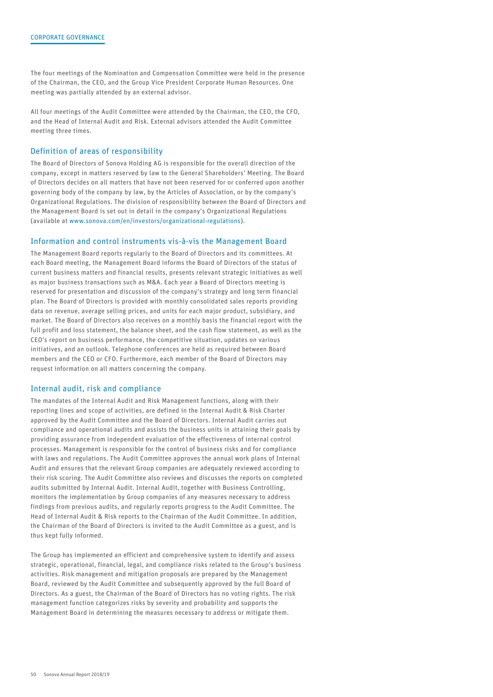The four meetings of the Nomination and Compensation Committee were held in the presence of the Chairman, the CEO, and the Group Vice President Corporate Human Resources. One meeting was partially attended by an external advisor.

All four meetings of the Audit Committee were attended by the Chairman, the CEO, the CFO, and the Head of Internal Audit and Risk. External advisors attended the Audit Committee meeting three times.

### Definition of areas of responsibility

The Board of Directors of Sonova Holding AG is responsible for the overall direction of the company, except in matters reserved by law to the General Shareholders' Meeting. The Board of Directors decides on all matters that have not been reserved for or conferred upon another governing body of the company by law, by the Articles of Association, or by the company's Organizational Regulations. The division of responsibility between the Board of Directors and the Management Board is set out in detail in the company's Organizational Regulations (available at [www.sonova.com/en/investors/organizational-regulations\)](http://www.sonova.com/en/investors/organizational-regulations).

#### Information and control instruments vis-à-vis the Management Board

The Management Board reports regularly to the Board of Directors and its committees. At each Board meeting, the Management Board informs the Board of Directors of the status of current business matters and financial results, presents relevant strategic initiatives as well as major business transactions such as M&A. Each year a Board of Directors meeting is reserved for presentation and discussion of the company's strategy and long term financial plan. The Board of Directors is provided with monthly consolidated sales reports providing data on revenue, average selling prices, and units for each major product, subsidiary, and market. The Board of Directors also receives on a monthly basis the financial report with the full profit and loss statement, the balance sheet, and the cash flow statement, as well as the CEO's report on business performance, the competitive situation, updates on various initiatives, and an outlook. Telephone conferences are held as required between Board members and the CEO or CFO. Furthermore, each member of the Board of Directors may request information on all matters concerning the company.

## Internal audit, risk and compliance

The mandates of the Internal Audit and Risk Management functions, along with their reporting lines and scope of activities, are defined in the Internal Audit & Risk Charter approved by the Audit Committee and the Board of Directors. Internal Audit carries out compliance and operational audits and assists the business units in attaining their goals by providing assurance from independent evaluation of the effectiveness of internal control processes. Management is responsible for the control of business risks and for compliance with laws and regulations. The Audit Committee approves the annual work plans of Internal Audit and ensures that the relevant Group companies are adequately reviewed according to their risk scoring. The Audit Committee also reviews and discusses the reports on completed audits submitted by Internal Audit. Internal Audit, together with Business Controlling, monitors the implementation by Group companies of any measures necessary to address findings from previous audits, and regularly reports progress to the Audit Committee. The Head of Internal Audit & Risk reports to the Chairman of the Audit Committee. In addition, the Chairman of the Board of Directors is invited to the Audit Committee as a guest, and is thus kept fully informed.

The Group has implemented an efficient and comprehensive system to identify and assess strategic, operational, financial, legal, and compliance risks related to the Group's business activities. Risk management and mitigation proposals are prepared by the Management Board, reviewed by the Audit Committee and subsequently approved by the full Board of Directors. As a guest, the Chairman of the Board of Directors has no voting rights. The risk management function categorizes risks by severity and probability and supports the Management Board in determining the measures necessary to address or mitigate them.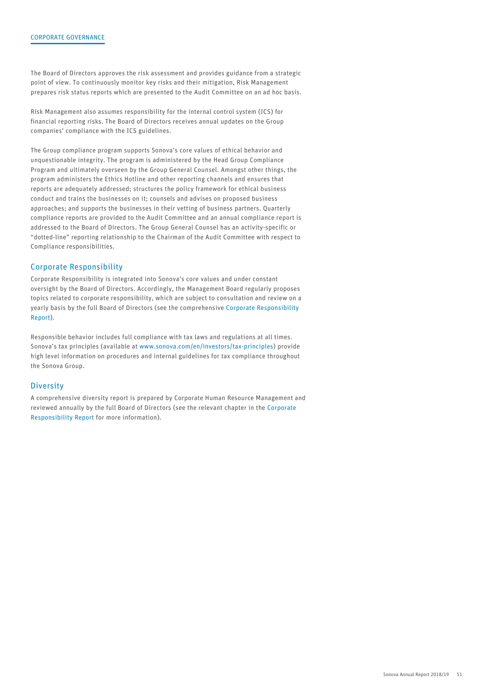The Board of Directors approves the risk assessment and provides guidance from a strategic point of view. To continuously monitor key risks and their mitigation, Risk Management prepares risk status reports which are presented to the Audit Committee on an ad hoc basis.

Risk Management also assumes responsibility for the internal control system (ICS) for financial reporting risks. The Board of Directors receives annual updates on the Group companies' compliance with the ICS guidelines.

The Group compliance program supports Sonova's core values of ethical behavior and unquestionable integrity. The program is administered by the Head Group Compliance Program and ultimately overseen by the Group General Counsel. Amongst other things, the program administers the Ethics Hotline and other reporting channels and ensures that reports are adequately addressed; structures the policy framework for ethical business conduct and trains the businesses on it; counsels and advises on proposed business approaches; and supports the businesses in their vetting of business partners. Quarterly compliance reports are provided to the Audit Committee and an annual compliance report is addressed to the Board of Directors. The Group General Counsel has an activity-specific or "dotted-line" reporting relationship to the Chairman of the Audit Committee with respect to Compliance responsibilities.

## Corporate Responsibility

Corporate Responsibility is integrated into Sonova's core values and under constant oversight by the Board of Directors. Accordingly, the Management Board regularly proposes topics related to corporate responsibility, which are subject to consultation and review on a yearly basis by the full Board of Directors (see the comprehensive [Corporate Responsibility](https://report.sonova.com/2019/en/cr-en/) [Report\)](https://report.sonova.com/2019/en/cr-en/).

Responsible behavior includes full compliance with tax laws and regulations at all times. Sonova's tax principles (available at [www.sonova.com/en/investors/tax-principles](http://www.sonova.com/en/investors/tax-principles)) provide high level information on procedures and internal guidelines for tax compliance throughout the Sonova Group.

## **Diversity**

A comprehensive diversity report is prepared by Corporate Human Resource Management and reviewed annually by the full Board of Directors (see the relevant chapter in the [Corporate](https://report.sonova.com/2019/en/cr-en/) [Responsibility Report](https://report.sonova.com/2019/en/cr-en/) for more information).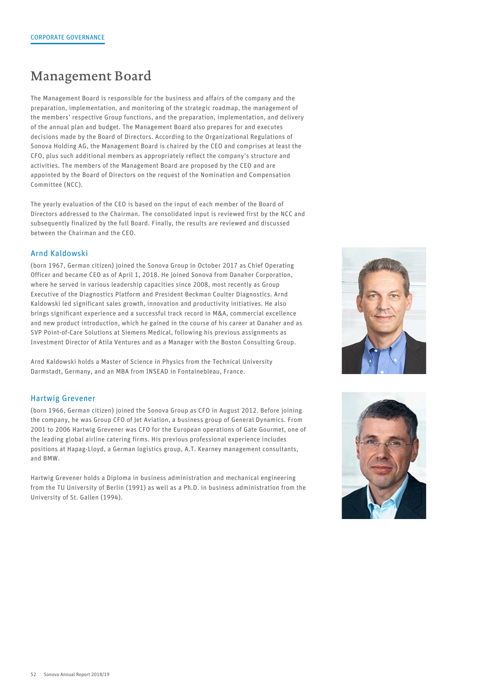## Management Board

The Management Board is responsible for the business and affairs of the company and the preparation, implementation, and monitoring of the strategic roadmap, the management of the members' respective Group functions, and the preparation, implementation, and delivery of the annual plan and budget. The Management Board also prepares for and executes decisions made by the Board of Directors. According to the Organizational Regulations of Sonova Holding AG, the Management Board is chaired by the CEO and comprises at least the CFO, plus such additional members as appropriately reflect the company's structure and activities. The members of the Management Board are proposed by the CEO and are appointed by the Board of Directors on the request of the Nomination and Compensation Committee (NCC).

The yearly evaluation of the CEO is based on the input of each member of the Board of Directors addressed to the Chairman. The consolidated input is reviewed first by the NCC and subsequently finalized by the full Board. Finally, the results are reviewed and discussed between the Chairman and the CEO.

## Arnd Kaldowski

(born 1967, German citizen) joined the Sonova Group in October 2017 as Chief Operating Officer and became CEO as of April 1, 2018. He joined Sonova from Danaher Corporation, where he served in various leadership capacities since 2008, most recently as Group Executive of the Diagnostics Platform and President Beckman Coulter Diagnostics. Arnd Kaldowski led significant sales growth, innovation and productivity initiatives. He also brings significant experience and a successful track record in M&A, commercial excellence and new product introduction, which he gained in the course of his career at Danaher and as SVP Point-of-Care Solutions at Siemens Medical, following his previous assignments as Investment Director of Atila Ventures and as a Manager with the Boston Consulting Group.

Arnd Kaldowski holds a Master of Science in Physics from the Technical University Darmstadt, Germany, and an MBA from INSEAD in Fontainebleau, France.

## Hartwig Grevener

(born 1966, German citizen) joined the Sonova Group as CFO in August 2012. Before joining the company, he was Group CFO of Jet Aviation, a business group of General Dynamics. From 2001 to 2006 Hartwig Grevener was CFO for the European operations of Gate Gourmet, one of the leading global airline catering firms. His previous professional experience includes positions at Hapag-Lloyd, a German logistics group, A.T. Kearney management consultants, and BMW.

Hartwig Grevener holds a Diploma in business administration and mechanical engineering from the TU University of Berlin (1991) as well as a Ph.D. in business administration from the University of St. Gallen (1994).



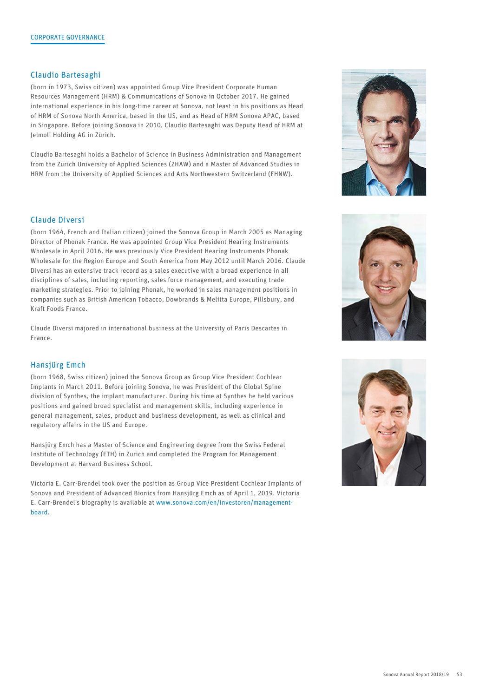## Claudio Bartesaghi

(born in 1973, Swiss citizen) was appointed Group Vice President Corporate Human Resources Management (HRM) & Communications of Sonova in October 2017. He gained international experience in his long-time career at Sonova, not least in his positions as Head of HRM of Sonova North America, based in the US, and as Head of HRM Sonova APAC, based in Singapore. Before joining Sonova in 2010, Claudio Bartesaghi was Deputy Head of HRM at Jelmoli Holding AG in Zürich.

Claudio Bartesaghi holds a Bachelor of Science in Business Administration and Management from the Zurich University of Applied Sciences (ZHAW) and a Master of Advanced Studies in HRM from the University of Applied Sciences and Arts Northwestern Switzerland (FHNW).

## Claude Diversi

(born 1964, French and Italian citizen) joined the Sonova Group in March 2005 as Managing Director of Phonak France. He was appointed Group Vice President Hearing Instruments Wholesale in April 2016. He was previously Vice President Hearing Instruments Phonak Wholesale for the Region Europe and South America from May 2012 until March 2016. Claude Diversi has an extensive track record as a sales executive with a broad experience in all disciplines of sales, including reporting, sales force management, and executing trade marketing strategies. Prior to joining Phonak, he worked in sales management positions in companies such as British American Tobacco, Dowbrands & Melitta Europe, Pillsbury, and Kraft Foods France.

Claude Diversi majored in international business at the University of Paris Descartes in France.

## Hansjürg Emch

(born 1968, Swiss citizen) joined the Sonova Group as Group Vice President Cochlear Implants in March 2011. Before joining Sonova, he was President of the Global Spine division of Synthes, the implant manufacturer. During his time at Synthes he held various positions and gained broad specialist and management skills, including experience in general management, sales, product and business development, as well as clinical and regulatory affairs in the US and Europe.

Hansjürg Emch has a Master of Science and Engineering degree from the Swiss Federal Institute of Technology (ETH) in Zurich and completed the Program for Management Development at Harvard Business School.

Victoria E. Carr-Brendel took over the position as Group Vice President Cochlear Implants of Sonova and President of Advanced Bionics from Hansjürg Emch as of April 1, 2019. Victoria E. Carr-Brendel's biography is available at [www.sonova.com/en/investoren/management](https://www.sonova.com/en/investoren/management-board)[board.](https://www.sonova.com/en/investoren/management-board)





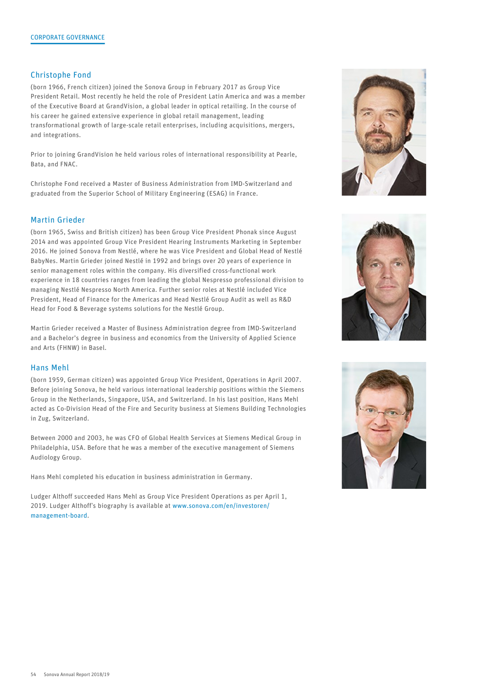## Christophe Fond

(born 1966, French citizen) joined the Sonova Group in February 2017 as Group Vice President Retail. Most recently he held the role of President Latin America and was a member of the Executive Board at GrandVision, a global leader in optical retailing. In the course of his career he gained extensive experience in global retail management, leading transformational growth of large-scale retail enterprises, including acquisitions, mergers, and integrations.

Prior to joining GrandVision he held various roles of international responsibility at Pearle, Bata, and FNAC.

Christophe Fond received a Master of Business Administration from IMD-Switzerland and graduated from the Superior School of Military Engineering (ESAG) in France.

## Martin Grieder

(born 1965, Swiss and British citizen) has been Group Vice President Phonak since August 2014 and was appointed Group Vice President Hearing Instruments Marketing in September 2016. He joined Sonova from Nestlé, where he was Vice President and Global Head of Nestlé BabyNes. Martin Grieder joined Nestlé in 1992 and brings over 20 years of experience in senior management roles within the company. His diversified cross-functional work experience in 18 countries ranges from leading the global Nespresso professional division to managing Nestlé Nespresso North America. Further senior roles at Nestlé included Vice President, Head of Finance for the Americas and Head Nestlé Group Audit as well as R&D Head for Food & Beverage systems solutions for the Nestlé Group.

Martin Grieder received a Master of Business Administration degree from IMD-Switzerland and a Bachelor's degree in business and economics from the University of Applied Science and Arts (FHNW) in Basel.

## Hans Mehl

(born 1959, German citizen) was appointed Group Vice President, Operations in April 2007. Before joining Sonova, he held various international leadership positions within the Siemens Group in the Netherlands, Singapore, USA, and Switzerland. In his last position, Hans Mehl acted as Co-Division Head of the Fire and Security business at Siemens Building Technologies in Zug, Switzerland.

Between 2000 and 2003, he was CFO of Global Health Services at Siemens Medical Group in Philadelphia, USA. Before that he was a member of the executive management of Siemens Audiology Group.

Hans Mehl completed his education in business administration in Germany.

Ludger Althoff succeeded Hans Mehl as Group Vice President Operations as per April 1, 2019. Ludger Althoff's biography is available at [www.sonova.com/en/investoren/](https://www.sonova.com/en/investoren/management-board) [management-board](https://www.sonova.com/en/investoren/management-board).





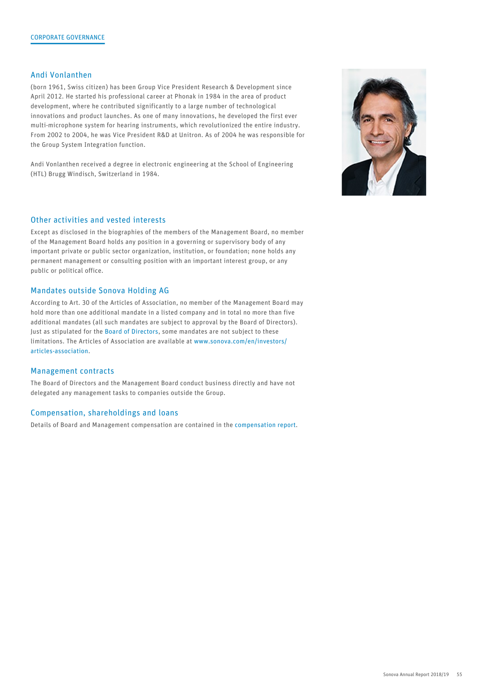## Andi Vonlanthen

(born 1961, Swiss citizen) has been Group Vice President Research & Development since April 2012. He started his professional career at Phonak in 1984 in the area of product development, where he contributed significantly to a large number of technological innovations and product launches. As one of many innovations, he developed the first ever multi-microphone system for hearing instruments, which revolutionized the entire industry. From 2002 to 2004, he was Vice President R&D at Unitron. As of 2004 he was responsible for the Group System Integration function.

Andi Vonlanthen received a degree in electronic engineering at the School of Engineering (HTL) Brugg Windisch, Switzerland in 1984.

## Other activities and vested interests

Except as disclosed in the biographies of the members of the Management Board, no member of the Management Board holds any position in a governing or supervisory body of any important private or public sector organization, institution, or foundation; none holds any permanent management or consulting position with an important interest group, or any public or political office.

## Mandates outside Sonova Holding AG

According to Art. 30 of the Articles of Association, no member of the Management Board may hold more than one additional mandate in a listed company and in total no more than five additional mandates (all such mandates are subject to approval by the Board of Directors). Just as stipulated for the [Board of Directors](#page-5-0), some mandates are not subject to these limitations. The Articles of Association are available at [www.sonova.com/en/investors/](http://www.sonova.com/en/investors/articles-association) [articles-association.](http://www.sonova.com/en/investors/articles-association)

#### Management contracts

The Board of Directors and the Management Board conduct business directly and have not delegated any management tasks to companies outside the Group.

## Compensation, shareholdings and loans

Details of Board and Management compensation are contained in the [compensation report](#page--1-0).

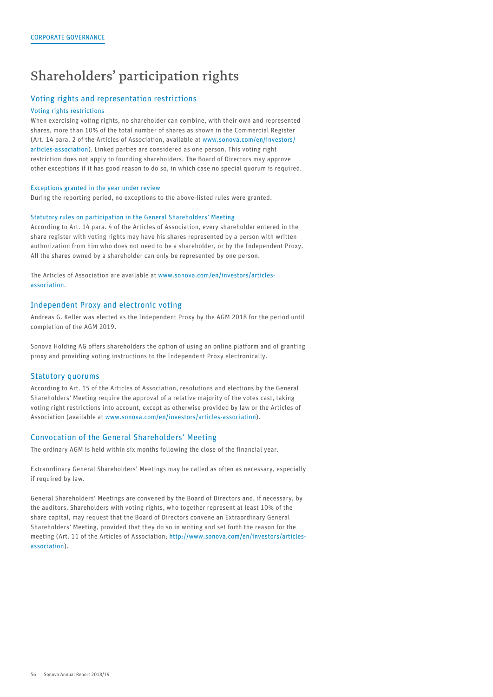## Shareholders' participation rights

## Voting rights and representation restrictions

#### Voting rights restrictions

When exercising voting rights, no shareholder can combine, with their own and represented shares, more than 10% of the total number of shares as shown in the Commercial Register (Art. 14 para. 2 of the Articles of Association, available at [www.sonova.com/en/investors/](http://www.sonova.com/en/investors/articles-association) [articles-association\)](http://www.sonova.com/en/investors/articles-association). Linked parties are considered as one person. This voting right restriction does not apply to founding shareholders. The Board of Directors may approve other exceptions if it has good reason to do so, in which case no special quorum is required.

#### Exceptions granted in the year under review

During the reporting period, no exceptions to the above-listed rules were granted.

#### Statutory rules on participation in the General Shareholders' Meeting

According to Art. 14 para. 4 of the Articles of Association, every shareholder entered in the share register with voting rights may have his shares represented by a person with written authorization from him who does not need to be a shareholder, or by the Independent Proxy. All the shares owned by a shareholder can only be represented by one person.

The Articles of Association are available at [www.sonova.com/en/investors/articles](http://www.sonova.com/en/investors/articles-association)[association](http://www.sonova.com/en/investors/articles-association).

## Independent Proxy and electronic voting

Andreas G. Keller was elected as the Independent Proxy by the AGM 2018 for the period until completion of the AGM 2019.

Sonova Holding AG offers shareholders the option of using an online platform and of granting proxy and providing voting instructions to the Independent Proxy electronically.

#### Statutory quorums

According to Art. 15 of the Articles of Association, resolutions and elections by the General Shareholders' Meeting require the approval of a relative majority of the votes cast, taking voting right restrictions into account, except as otherwise provided by law or the Articles of Association (available at [www.sonova.com/en/investors/articles-association](http://www.sonova.com/en/investors/articles-association)).

## Convocation of the General Shareholders' Meeting

The ordinary AGM is held within six months following the close of the financial year.

Extraordinary General Shareholders' Meetings may be called as often as necessary, especially if required by law.

General Shareholders' Meetings are convened by the Board of Directors and, if necessary, by the auditors. Shareholders with voting rights, who together represent at least 10% of the share capital, may request that the Board of Directors convene an Extraordinary General Shareholders' Meeting, provided that they do so in writing and set forth the reason for the meeting (Art. 11 of the Articles of Association; [http://www.sonova.com/en/investors/articles](http://www.sonova.com/en/investors/articles-association)[association](http://www.sonova.com/en/investors/articles-association)).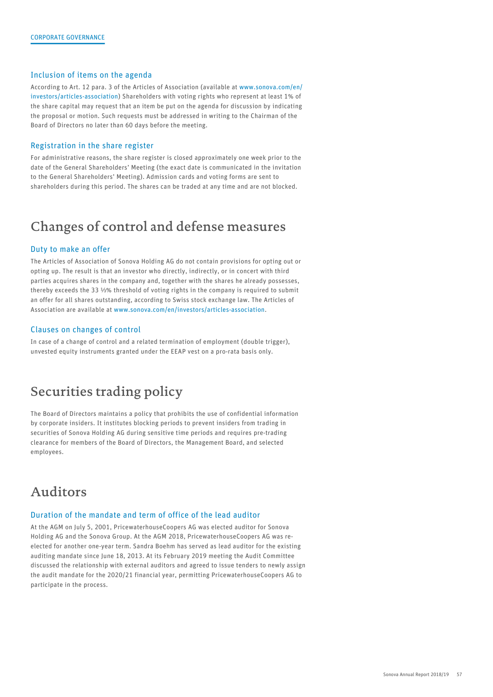### Inclusion of items on the agenda

According to Art. 12 para. 3 of the Articles of Association (available at [www.sonova.com/en/](http://www.sonova.com/en/investors/articles-association) [investors/articles-association\)](http://www.sonova.com/en/investors/articles-association) Shareholders with voting rights who represent at least 1% of the share capital may request that an item be put on the agenda for discussion by indicating the proposal or motion. Such requests must be addressed in writing to the Chairman of the Board of Directors no later than 60 days before the meeting.

#### Registration in the share register

For administrative reasons, the share register is closed approximately one week prior to the date of the General Shareholders' Meeting (the exact date is communicated in the invitation to the General Shareholders' Meeting). Admission cards and voting forms are sent to shareholders during this period. The shares can be traded at any time and are not blocked.

## Changes of control and defense measures

## Duty to make an offer

The Articles of Association of Sonova Holding AG do not contain provisions for opting out or opting up. The result is that an investor who directly, indirectly, or in concert with third parties acquires shares in the company and, together with the shares he already possesses, thereby exceeds the 33 ⅓% threshold of voting rights in the company is required to submit an offer for all shares outstanding, according to Swiss stock exchange law. The Articles of Association are available at [www.sonova.com/en/investors/articles-association.](http://www.sonova.com/en/investors/articles-association)

## Clauses on changes of control

In case of a change of control and a related termination of employment (double trigger), unvested equity instruments granted under the EEAP vest on a pro-rata basis only.

## Securities trading policy

The Board of Directors maintains a policy that prohibits the use of confidential information by corporate insiders. It institutes blocking periods to prevent insiders from trading in securities of Sonova Holding AG during sensitive time periods and requires pre-trading clearance for members of the Board of Directors, the Management Board, and selected employees.

## Auditors

### Duration of the mandate and term of office of the lead auditor

At the AGM on July 5, 2001, PricewaterhouseCoopers AG was elected auditor for Sonova Holding AG and the Sonova Group. At the AGM 2018, PricewaterhouseCoopers AG was reelected for another one-year term. Sandra Boehm has served as lead auditor for the existing auditing mandate since June 18, 2013. At its February 2019 meeting the Audit Committee discussed the relationship with external auditors and agreed to issue tenders to newly assign the audit mandate for the 2020/21 financial year, permitting PricewaterhouseCoopers AG to participate in the process.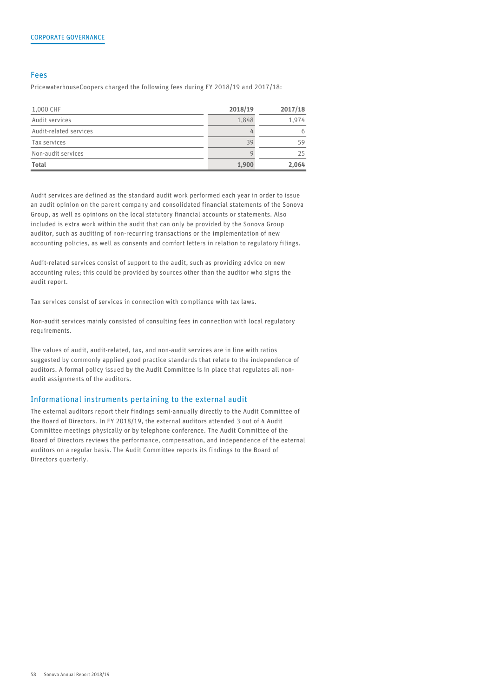### Fees

PricewaterhouseCoopers charged the following fees during FY 2018/19 and 2017/18:

| 1,000 CHF              | 2018/19 | 2017/18 |
|------------------------|---------|---------|
| Audit services         | 1,848   | 1,974   |
| Audit-related services |         |         |
| Tax services           | 39      | 59      |
| Non-audit services     |         | 25      |
| Total                  | 1,900   | 2,064   |

Audit services are defined as the standard audit work performed each year in order to issue an audit opinion on the parent company and consolidated financial statements of the Sonova Group, as well as opinions on the local statutory financial accounts or statements. Also included is extra work within the audit that can only be provided by the Sonova Group auditor, such as auditing of non-recurring transactions or the implementation of new accounting policies, as well as consents and comfort letters in relation to regulatory filings.

Audit-related services consist of support to the audit, such as providing advice on new accounting rules; this could be provided by sources other than the auditor who signs the audit report.

Tax services consist of services in connection with compliance with tax laws.

Non-audit services mainly consisted of consulting fees in connection with local regulatory requirements.

The values of audit, audit-related, tax, and non-audit services are in line with ratios suggested by commonly applied good practice standards that relate to the independence of auditors. A formal policy issued by the Audit Committee is in place that regulates all nonaudit assignments of the auditors.

#### Informational instruments pertaining to the external audit

The external auditors report their findings semi-annually directly to the Audit Committee of the Board of Directors. In FY 2018/19, the external auditors attended 3 out of 4 Audit Committee meetings physically or by telephone conference. The Audit Committee of the Board of Directors reviews the performance, compensation, and independence of the external auditors on a regular basis. The Audit Committee reports its findings to the Board of Directors quarterly.